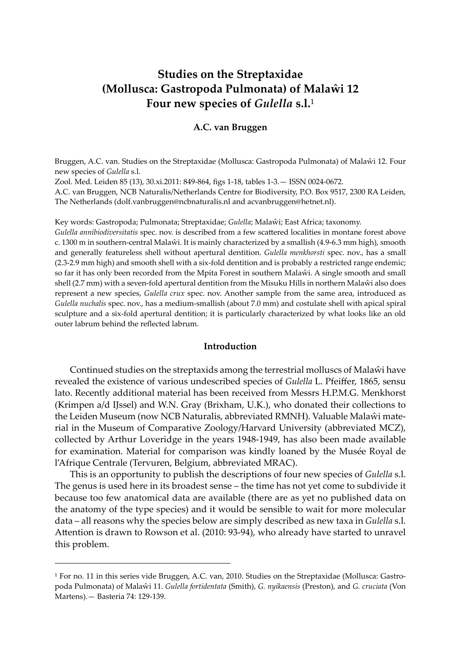# **Studies on the Streptaxidae (Mollusca: Gastropoda Pulmonata) of Malaŵi 12** Four new species of *Gulella* s.l.<sup>1</sup>

## **A.C. van Bruggen**

Bruggen, A.C. van. Studies on the Streptaxidae (Mollusca: Gastropoda Pulmonata) of Malaŵi 12. Four new species of *Gulella* s.l.

Zool. Med. Leiden 85 (13), 30.xi.2011: 849-864, figs 1-18, tables 1-3.— ISSN 0024-0672.

A.C. van Bruggen, NCB Naturalis/Netherlands Centre for Biodiversity, P.O. Box 9517, 2300 RA Leiden, The Netherlands (dolf.vanbruggen@ncbnaturalis.nl and acvanbruggen@hetnet.nl).

Key words: Gastropoda; Pulmonata; Streptaxidae; *Gulella*; Malaŵi; East Africa; taxonomy.

*Gulella annibiodiversitatis* spec. nov. is described from a few scattered localities in montane forest above c. 1300 m in southern-central Malaŵi. It is mainly characterized by a smallish (4.9-6.3 mm high), smooth and generally featureless shell without apertural dentition. *Gulella menkhorsti* spec. nov., has a small (2.3-2.9 mm high) and smooth shell with a six-fold dentition and is probably a restricted range endemic; so far it has only been recorded from the Mpita Forest in southern Malaŵi. A single smooth and small shell (2.7 mm) with a seven-fold apertural dentition from the Misuku Hills in northern Malaŵi also does represent a new species, *Gulella crux* spec. nov. Another sample from the same area, introduced as *Gulella nuchalis* spec. nov., has a medium-smallish (about 7.0 mm) and costulate shell with apical spiral sculpture and a six-fold apertural dentition; it is particularly characterized by what looks like an old outer labrum behind the reflected labrum.

## **Introduction**

Continued studies on the streptaxids among the terrestrial molluscs of Malaŵi have revealed the existence of various undescribed species of *Gulella* L. Pfeiffer, 1865, sensu lato. Recently additional material has been received from Messrs H.P.M.G. Menkhorst (Krimpen a/d IJssel) and W.N. Gray (Brixham, U.K.), who donated their collections to the Leiden Museum (now NCB Naturalis, abbreviated RMNH). Valuable Malaŵi material in the Museum of Comparative Zoology/Harvard University (abbreviated MCZ), collected by Arthur Loveridge in the years 1948-1949, has also been made available for examination. Material for comparison was kindly loaned by the Musée Royal de l'Afrique Centrale (Tervuren, Belgium, abbreviated MRAC).

This is an opportunity to publish the descriptions of four new species of *Gulella* s.l. The genus is used here in its broadest sense – the time has not yet come to subdivide it because too few anatomical data are available (there are as yet no published data on the anatomy of the type species) and it would be sensible to wait for more molecular data – all reasons why the species below are simply described as new taxa in *Gulella* s.l. Attention is drawn to Rowson et al. (2010: 93-94), who already have started to unravel this problem.

<sup>&</sup>lt;sup>1</sup> For no. 11 in this series vide Bruggen, A.C. van, 2010. Studies on the Streptaxidae (Mollusca: Gastropoda Pulmonata) of Malaŵi 11. *Gulella fortidentata* (Smith), *G. nyikaensis* (Preston), and *G. cruciata* (Von Martens).— Basteria 74: 129-139.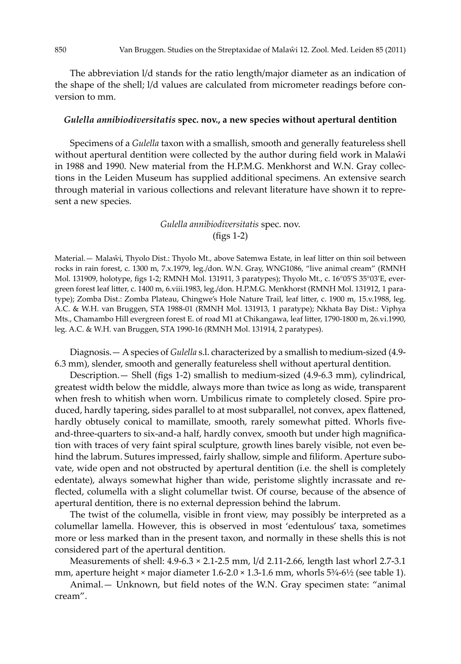The abbreviation l/d stands for the ratio length/major diameter as an indication of the shape of the shell; l/d values are calculated from micrometer readings before conversion to mm.

### *Gulella annibiodiversitatis* **spec. nov., a new species without apertural dentition**

Specimens of a *Gulella* taxon with a smallish, smooth and generally featureless shell without apertural dentition were collected by the author during field work in Malaŵi in 1988 and 1990. New material from the H.P.M.G. Menkhorst and W.N. Gray collections in the Leiden Museum has supplied additional specimens. An extensive search through material in various collections and relevant literature have shown it to represent a new species.

### *Gulella annibiodiversitatis* spec. nov. (figs 1-2)

Material.— Malaŵi, Thyolo Dist.: Thyolo Mt., above Satemwa Estate, in leaf litter on thin soil between rocks in rain forest, c. 1300 m, 7.x.1979, leg./don. W.N. Gray, WNG1086, "live animal cream" (RMNH Mol. 131909, holotype, figs 1-2; RMNH Mol. 131911, 3 paratypes); Thyolo Mt., c. 16°05'S 35°03'E, evergreen forest leaf litter, c. 1400 m, 6.viii.1983, leg./don. H.P.M.G. Menkhorst (RMNH Mol. 131912, 1 paratype); Zomba Dist.: Zomba Plateau, Chingwe's Hole Nature Trail, leaf litter, c. 1900 m, 15.v.1988, leg. A.C. & W.H. van Bruggen, STA 1988-01 (RMNH Mol. 131913, 1 paratype); Nkhata Bay Dist.: Viphya Mts., Chamambo Hill evergreen forest E. of road M1 at Chikangawa, leaf litter, 1790-1800 m, 26.vi.1990, leg. A.C. & W.H. van Bruggen, STA 1990-16 (RMNH Mol. 131914, 2 paratypes).

Diagnosis.— A species of *Gulella* s.l. characterized by a smallish to medium-sized (4.9- 6.3 mm), slender, smooth and generally featureless shell without apertural dentition.

Description.— Shell (figs 1-2) smallish to medium-sized (4.9-6.3 mm), cylindrical, greatest width below the middle, always more than twice as long as wide, transparent when fresh to whitish when worn. Umbilicus rimate to completely closed. Spire produced, hardly tapering, sides parallel to at most subparallel, not convex, apex flattened, hardly obtusely conical to mamillate, smooth, rarely somewhat pitted. Whorls fiveand-three-quarters to six-and-a half, hardly convex, smooth but under high magnification with traces of very faint spiral sculpture, growth lines barely visible, not even behind the labrum. Sutures impressed, fairly shallow, simple and filiform. Aperture subovate, wide open and not obstructed by apertural dentition (i.e. the shell is completely edentate), always somewhat higher than wide, peristome slightly incrassate and reflected, columella with a slight columellar twist. Of course, because of the absence of apertural dentition, there is no external depression behind the labrum.

The twist of the columella, visible in front view, may possibly be interpreted as a columellar lamella. However, this is observed in most 'edentulous' taxa, sometimes more or less marked than in the present taxon, and normally in these shells this is not considered part of the apertural dentition.

Measurements of shell: 4.9-6.3 × 2.1-2.5 mm, l/d 2.11-2.66, length last whorl 2.7-3.1 mm, aperture height × major diameter  $1.6$ - $2.0$  ×  $1.3$ - $1.6$  mm, whorls  $5\frac{3}{4}$ - $6\frac{1}{2}$  (see table 1).

Animal.— Unknown, but field notes of the W.N. Gray specimen state: "animal cream".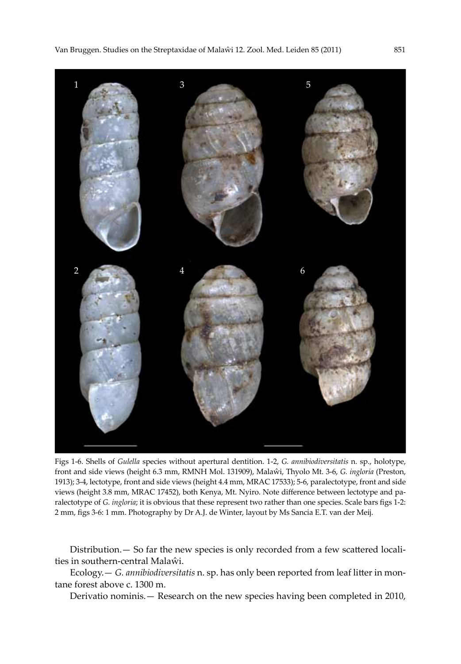

Figs 1-6. Shells of *Gulella* species without apertural dentition. 1-2, *G. annibiodiversitatis* n. sp., holotype, front and side views (height 6.3 mm, RMNH Mol. 131909), Malaŵi, Thyolo Mt. 3-6, *G. ingloria* (Preston, 1913); 3-4, lectotype, front and side views (height 4.4 mm, MRAC 17533); 5-6, paralectotype, front and side views (height 3.8 mm, MRAC 17452), both Kenya, Mt. Nyiro. Note difference between lectotype and paralectotype of *G. ingloria*; it is obvious that these represent two rather than one species. Scale bars figs 1-2: 2 mm, figs 3-6: 1 mm. Photography by Dr A.J. de Winter, layout by Ms Sancia E.T. van der Meij.

Distribution.— So far the new species is only recorded from a few scattered localities in southern-central Malaŵi.

Ecology.— *G. annibiodiversitatis* n. sp. has only been reported from leaf litter in montane forest above c. 1300 m.

Derivatio nominis.— Research on the new species having been completed in 2010,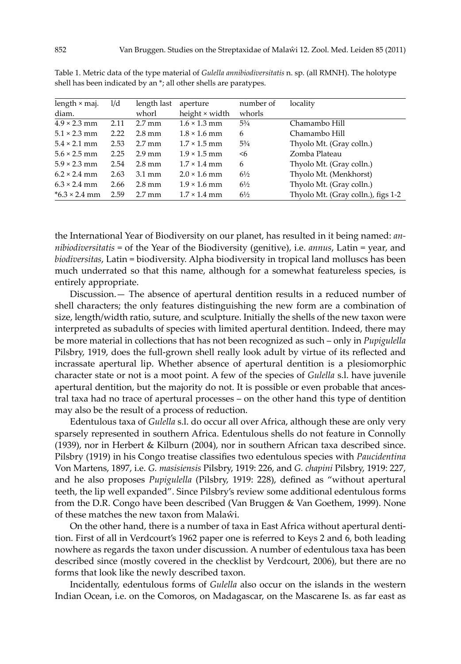| length $\times$ maj. | l/d  | length last      | aperture            | number of      | locality                           |
|----------------------|------|------------------|---------------------|----------------|------------------------------------|
| diam.                |      | whorl            | height × width      | whorls         |                                    |
| $4.9 \times 2.3$ mm  | 2.11 | $2.7 \text{ mm}$ | $1.6 \times 1.3$ mm | $5\frac{3}{4}$ | Chamambo Hill                      |
| $5.1 \times 2.3$ mm  | 2.22 | $2.8 \text{ mm}$ | $1.8 \times 1.6$ mm | 6              | Chamambo Hill                      |
| $5.4 \times 2.1$ mm  | 2.53 | $2.7 \text{ mm}$ | $1.7 \times 1.5$ mm | $5\frac{3}{4}$ | Thyolo Mt. (Gray colln.)           |
| $5.6 \times 2.5$ mm  | 2.25 | $2.9 \text{ mm}$ | $1.9 \times 1.5$ mm | <6             | Zomba Plateau                      |
| $5.9 \times 2.3$ mm  | 2.54 | $2.8 \text{ mm}$ | $1.7 \times 1.4$ mm | 6              | Thyolo Mt. (Gray colln.)           |
| $6.2 \times 2.4$ mm  | 2.63 | $3.1 \text{ mm}$ | $2.0 \times 1.6$ mm | $6\frac{1}{2}$ | Thyolo Mt. (Menkhorst)             |
| $6.3 \times 2.4$ mm  | 2.66 | $2.8 \text{ mm}$ | $1.9 \times 1.6$ mm | $6\frac{1}{2}$ | Thyolo Mt. (Gray colln.)           |
| $*6.3 \times 2.4$ mm | 2.59 | $2.7 \text{ mm}$ | $1.7 \times 1.4$ mm | $6\frac{1}{2}$ | Thyolo Mt. (Gray colln.), figs 1-2 |

Table 1. Metric data of the type material of *Gulella annibiodiversitatis* n. sp. (all RMNH). The holotype shell has been indicated by an \*; all other shells are paratypes.

the International Year of Biodiversity on our planet, has resulted in it being named: *annibiodiversitatis* = of the Year of the Biodiversity (genitive), i.e. *annus*, Latin = year, and *biodiversitas*, Latin = biodiversity. Alpha biodiversity in tropical land molluscs has been much underrated so that this name, although for a somewhat featureless species, is entirely appropriate.

Discussion.— The absence of apertural dentition results in a reduced number of shell characters; the only features distinguishing the new form are a combination of size, length/width ratio, suture, and sculpture. Initially the shells of the new taxon were interpreted as subadults of species with limited apertural dentition. Indeed, there may be more material in collections that has not been recognized as such – only in *Pupigulella* Pilsbry, 1919, does the full-grown shell really look adult by virtue of its reflected and incrassate apertural lip. Whether absence of apertural dentition is a plesiomorphic character state or not is a moot point. A few of the species of *Gulella* s.l. have juvenile apertural dentition, but the majority do not. It is possible or even probable that ancestral taxa had no trace of apertural processes – on the other hand this type of dentition may also be the result of a process of reduction.

Edentulous taxa of *Gulella* s.l. do occur all over Africa, although these are only very sparsely represented in southern Africa. Edentulous shells do not feature in Connolly (1939), nor in Herbert & Kilburn (2004), nor in southern African taxa described since. Pilsbry (1919) in his Congo treatise classifies two edentulous species with *Paucidentina* Von Martens, 1897, i.e. *G. masisiensis* Pilsbry, 1919: 226, and *G. chapini* Pilsbry, 1919: 227, and he also proposes *Pupigulella* (Pilsbry, 1919: 228), defined as "without apertural teeth, the lip well expanded". Since Pilsbry's review some additional edentulous forms from the D.R. Congo have been described (Van Bruggen & Van Goethem, 1999). None of these matches the new taxon from Malaŵi.

On the other hand, there is a number of taxa in East Africa without apertural dentition. First of all in Verdcourt's 1962 paper one is referred to Keys 2 and 6, both leading nowhere as regards the taxon under discussion. A number of edentulous taxa has been described since (mostly covered in the checklist by Verdcourt, 2006), but there are no forms that look like the newly described taxon.

Incidentally, edentulous forms of *Gulella* also occur on the islands in the western Indian Ocean, i.e. on the Comoros, on Madagascar, on the Mascarene Is. as far east as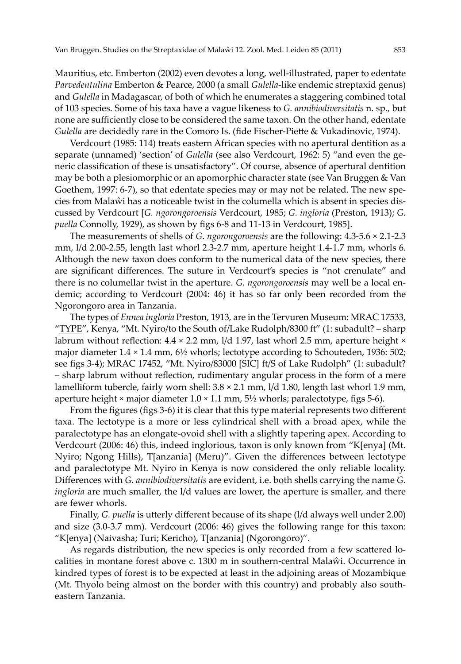Mauritius, etc. Emberton (2002) even devotes a long, well-illustrated, paper to edentate *Parvedentulina* Emberton & Pearce, 2000 (a small *Gulella*-like endemic streptaxid genus) and *Gulella* in Madagascar, of both of which he enumerates a staggering combined total of 103 species. Some of his taxa have a vague likeness to *G. annibiodiversitatis* n. sp., but none are sufficiently close to be considered the same taxon. On the other hand, edentate *Gulella* are decidedly rare in the Comoro Is. (fide Fischer-Piette & Vukadinovic, 1974).

Verdcourt (1985: 114) treats eastern African species with no apertural dentition as a separate (unnamed) 'section' of *Gulella* (see also Verdcourt, 1962: 5) "and even the generic classification of these is unsatisfactory". Of course, absence of apertural dentition may be both a plesiomorphic or an apomorphic character state (see Van Bruggen & Van Goethem, 1997: 6-7), so that edentate species may or may not be related. The new species from Malaŵi has a noticeable twist in the columella which is absent in species discussed by Verdcourt [*G. ngorongoroensis* Verdcourt, 1985; *G. ingloria* (Preston, 1913); *G. puella* Connolly, 1929), as shown by figs 6-8 and 11-13 in Verdcourt, 1985].

The measurements of shells of *G*. *ngorongoroensis* are the following: 4.3-5.6 × 2.1-2.3 mm, l/d 2.00-2.55, length last whorl 2.3-2.7 mm, aperture height 1.4-1.7 mm, whorls 6. Although the new taxon does conform to the numerical data of the new species, there are significant differences. The suture in Verdcourt's species is "not crenulate" and there is no columellar twist in the aperture. *G. ngorongoroensis* may well be a local endemic; according to Verdcourt (2004: 46) it has so far only been recorded from the Ngorongoro area in Tanzania.

The types of *Ennea ingloria* Preston, 1913, are in the Tervuren Museum: MRAC 17533, "TYPE", Kenya, "Mt. Nyiro/to the South of/Lake Rudolph/8300 ft" (1: subadult? – sharp labrum without reflection:  $4.4 \times 2.2$  mm,  $1/d$  1.97, last whorl 2.5 mm, aperture height  $\times$ major diameter 1.4 × 1.4 mm, 6½ whorls; lectotype according to Schouteden, 1936: 502; see figs 3-4); MRAC 17452, "Mt. Nyiro/83000 [SIC] ft/S of Lake Rudolph" (1: subadult? – sharp labrum without reflection, rudimentary angular process in the form of a mere lamelliform tubercle, fairly worn shell: 3.8 × 2.1 mm, l/d 1.80, length last whorl 1.9 mm, aperture height  $\times$  major diameter  $1.0 \times 1.1$  mm,  $5\frac{1}{2}$  whorls; paralectotype, figs 5-6).

From the figures (figs 3-6) it is clear that this type material represents two different taxa. The lectotype is a more or less cylindrical shell with a broad apex, while the paralectotype has an elongate-ovoid shell with a slightly tapering apex. According to Verdcourt (2006: 46) this, indeed inglorious, taxon is only known from "K[enya] (Mt. Nyiro; Ngong Hills), T[anzania] (Meru)". Given the differences between lectotype and paralectotype Mt. Nyiro in Kenya is now considered the only reliable locality. Differences with *G. annibiodiversitatis* are evident, i.e. both shells carrying the name *G. ingloria* are much smaller, the l/d values are lower, the aperture is smaller, and there are fewer whorls.

Finally, *G. puella* is utterly different because of its shape (l/d always well under 2.00) and size (3.0-3.7 mm). Verdcourt (2006: 46) gives the following range for this taxon: "K[enya] (Naivasha; Turi; Kericho), T[anzania] (Ngorongoro)".

As regards distribution, the new species is only recorded from a few scattered localities in montane forest above c. 1300 m in southern-central Malaŵi. Occurrence in kindred types of forest is to be expected at least in the adjoining areas of Mozambique (Mt. Thyolo being almost on the border with this country) and probably also southeastern Tanzania.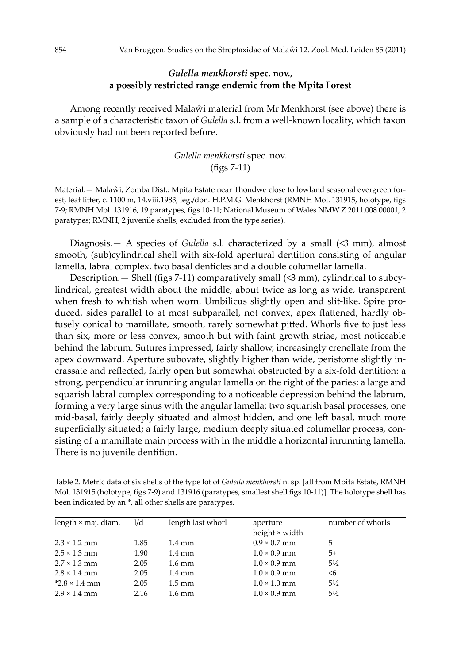## *Gulella menkhorsti* **spec. nov., a possibly restricted range endemic from the Mpita Forest**

Among recently received Malaŵi material from Mr Menkhorst (see above) there is a sample of a characteristic taxon of *Gulella* s.l. from a well-known locality, which taxon obviously had not been reported before.

# *Gulella menkhorsti* spec. nov. (figs 7-11)

Material.— Malaŵi, Zomba Dist.: Mpita Estate near Thondwe close to lowland seasonal evergreen forest, leaf litter, c. 1100 m, 14.viii.1983, leg./don. H.P.M.G. Menkhorst (RMNH Mol. 131915, holotype, figs 7-9; RMNH Mol. 131916, 19 paratypes, figs 10-11; National Museum of Wales NMW.Z 2011.008.00001, 2 paratypes; RMNH, 2 juvenile shells, excluded from the type series).

Diagnosis.— A species of *Gulella* s.l. characterized by a small (<3 mm), almost smooth, (sub)cylindrical shell with six-fold apertural dentition consisting of angular lamella, labral complex, two basal denticles and a double columellar lamella.

Description.— Shell (figs 7-11) comparatively small (<3 mm), cylindrical to subcylindrical, greatest width about the middle, about twice as long as wide, transparent when fresh to whitish when worn. Umbilicus slightly open and slit-like. Spire produced, sides parallel to at most subparallel, not convex, apex flattened, hardly obtusely conical to mamillate, smooth, rarely somewhat pitted. Whorls five to just less than six, more or less convex, smooth but with faint growth striae, most noticeable behind the labrum. Sutures impressed, fairly shallow, increasingly crenellate from the apex downward. Aperture subovate, slightly higher than wide, peristome slightly incrassate and reflected, fairly open but somewhat obstructed by a six-fold dentition: a strong, perpendicular inrunning angular lamella on the right of the paries; a large and squarish labral complex corresponding to a noticeable depression behind the labrum, forming a very large sinus with the angular lamella; two squarish basal processes, one mid-basal, fairly deeply situated and almost hidden, and one left basal, much more superficially situated; a fairly large, medium deeply situated columellar process, consisting of a mamillate main process with in the middle a horizontal inrunning lamella. There is no juvenile dentition.

| length × maj. diam.  | l/d  | length last whorl | aperture            | number of whorls |
|----------------------|------|-------------------|---------------------|------------------|
|                      |      |                   | height × width      |                  |
| $2.3 \times 1.2$ mm  | 1.85 | $1.4 \text{ mm}$  | $0.9 \times 0.7$ mm | 5                |
| $2.5 \times 1.3$ mm  | 1.90 | $1.4 \text{ mm}$  | $1.0 \times 0.9$ mm | 5+               |
| $2.7 \times 1.3$ mm  | 2.05 | $1.6 \text{ mm}$  | $1.0 \times 0.9$ mm | $5\frac{1}{2}$   |
| $2.8 \times 1.4$ mm  | 2.05 | $1.4 \text{ mm}$  | $1.0 \times 0.9$ mm | <6               |
| $*2.8 \times 1.4$ mm | 2.05 | $1.5 \text{ mm}$  | $1.0 \times 1.0$ mm | $5\frac{1}{2}$   |
| $2.9 \times 1.4$ mm  | 2.16 | $1.6 \text{ mm}$  | $1.0 \times 0.9$ mm | $5\frac{1}{2}$   |

Table 2. Metric data of six shells of the type lot of *Gulella menkhorsti* n. sp. [all from Mpita Estate, RMNH Mol. 131915 (holotype, figs 7-9) and 131916 (paratypes, smallest shell figs 10-11)]. The holotype shell has been indicated by an \*, all other shells are paratypes.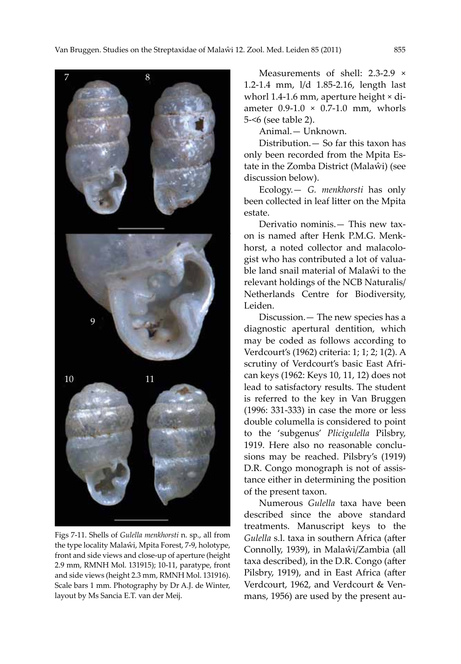

Figs 7-11. Shells of *Gulella menkhorsti* n. sp., all from the type locality Malaŵi, Mpita Forest, 7-9, holotype, front and side views and close-up of aperture (height 2.9 mm, RMNH Mol. 131915); 10-11, paratype, front and side views (height 2.3 mm, RMNH Mol. 131916). Scale bars 1 mm. Photography by Dr A.J. de Winter, layout by Ms Sancia E.T. van der Meij.

Measurements of shell: 2.3-2.9 × 1.2-1.4 mm, l/d 1.85-2.16, length last whorl 1.4-1.6 mm, aperture height  $\times$  diameter  $0.9-1.0 \times 0.7-1.0$  mm, whorls 5-<6 (see table 2).

Animal.— Unknown.

Distribution.— So far this taxon has only been recorded from the Mpita Estate in the Zomba District (Malaŵi) (see discussion below).

Ecology.— *G. menkhorsti* has only been collected in leaf litter on the Mpita estate.

Derivatio nominis.— This new taxon is named after Henk P.M.G. Menkhorst, a noted collector and malacologist who has contributed a lot of valuable land snail material of Malaŵi to the relevant holdings of the NCB Naturalis/ Netherlands Centre for Biodiversity, Leiden.

Discussion.— The new species has a diagnostic apertural dentition, which may be coded as follows according to Verdcourt's (1962) criteria: 1; 1; 2; 1(2). A scrutiny of Verdcourt's basic East African keys (1962: Keys 10, 11, 12) does not lead to satisfactory results. The student is referred to the key in Van Bruggen (1996: 331-333) in case the more or less double columella is considered to point to the 'subgenus' *Plicigulella* Pilsbry, 1919. Here also no reasonable conclusions may be reached. Pilsbry's (1919) D.R. Congo monograph is not of assistance either in determining the position of the present taxon.

Numerous *Gulella* taxa have been described since the above standard treatments. Manuscript keys to the *Gulella* s.l. taxa in southern Africa (after Connolly, 1939), in Malaŵi/Zambia (all taxa described), in the D.R. Congo (after Pilsbry, 1919), and in East Africa (after Verdcourt, 1962, and Verdcourt & Venmans, 1956) are used by the present au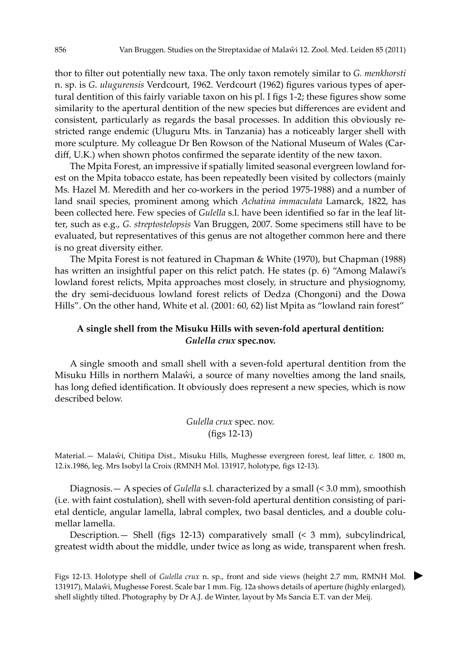thor to filter out potentially new taxa. The only taxon remotely similar to *G. menkhorsti* n. sp. is *G. ulugurensis* Verdcourt, 1962. Verdcourt (1962) figures various types of apertural dentition of this fairly variable taxon on his pl. I figs 1-2; these figures show some similarity to the apertural dentition of the new species but differences are evident and consistent, particularly as regards the basal processes. In addition this obviously restricted range endemic (Uluguru Mts. in Tanzania) has a noticeably larger shell with more sculpture. My colleague Dr Ben Rowson of the National Museum of Wales (Cardiff, U.K.) when shown photos confirmed the separate identity of the new taxon.

The Mpita Forest, an impressive if spatially limited seasonal evergreen lowland forest on the Mpita tobacco estate, has been repeatedly been visited by collectors (mainly Ms. Hazel M. Meredith and her co-workers in the period 1975-1988) and a number of land snail species, prominent among which *Achatina immaculata* Lamarck, 1822, has been collected here. Few species of *Gulella* s.l. have been identified so far in the leaf litter, such as e.g., *G. streptostelopsis* Van Bruggen, 2007. Some specimens still have to be evaluated, but representatives of this genus are not altogether common here and there is no great diversity either.

The Mpita Forest is not featured in Chapman & White (1970), but Chapman (1988) has written an insightful paper on this relict patch. He states (p. 6) "Among Malawi's lowland forest relicts, Mpita approaches most closely, in structure and physiognomy, the dry semi-deciduous lowland forest relicts of Dedza (Chongoni) and the Dowa Hills". On the other hand, White et al. (2001: 60, 62) list Mpita as "lowland rain forest"

## **A single shell from the Misuku Hills with seven-fold apertural dentition:** *Gulella crux* **spec.nov.**

A single smooth and small shell with a seven-fold apertural dentition from the Misuku Hills in northern Malaŵi, a source of many novelties among the land snails, has long defied identification. It obviously does represent a new species, which is now described below.

> *Gulella crux* spec. nov. (figs 12-13)

Material.— Malaŵi, Chitipa Dist., Misuku Hills, Mughesse evergreen forest, leaf litter, c. 1800 m, 12.ix.1986, leg. Mrs Isobyl la Croix (RMNH Mol. 131917, holotype, figs 12-13).

Diagnosis.— A species of *Gulella* s.l. characterized by a small (< 3.0 mm), smoothish (i.e. with faint costulation), shell with seven-fold apertural dentition consisting of parietal denticle, angular lamella, labral complex, two basal denticles, and a double columellar lamella.

Description.— Shell (figs 12-13) comparatively small (< 3 mm), subcylindrical, greatest width about the middle, under twice as long as wide, transparent when fresh.

Figs 12-13. Holotype shell of *Gulella crux* n. sp., front and side views (height 2.7 mm, RMNH Mol. ▶131917), Malaŵi, Mughesse Forest. Scale bar 1 mm. Fig. 12a shows details of aperture (highly enlarged), shell slightly tilted. Photography by Dr A.J. de Winter, layout by Ms Sancia E.T. van der Meij.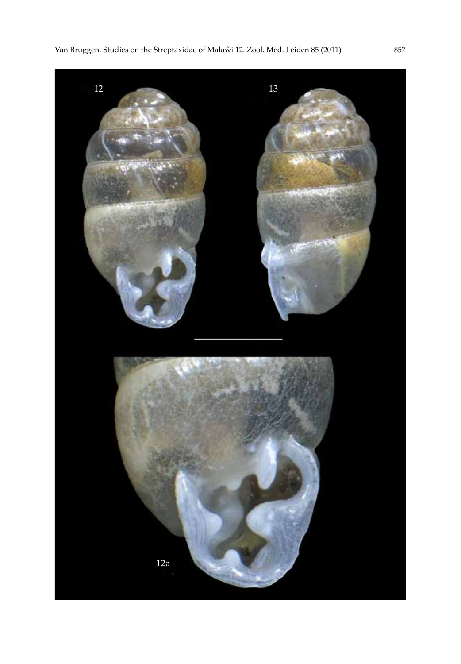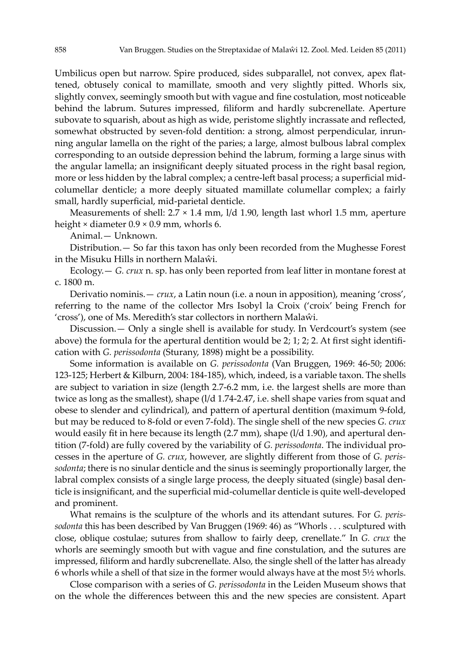Umbilicus open but narrow. Spire produced, sides subparallel, not convex, apex flattened, obtusely conical to mamillate, smooth and very slightly pitted. Whorls six, slightly convex, seemingly smooth but with vague and fine costulation, most noticeable behind the labrum. Sutures impressed, filiform and hardly subcrenellate. Aperture subovate to squarish, about as high as wide, peristome slightly incrassate and reflected, somewhat obstructed by seven-fold dentition: a strong, almost perpendicular, inrunning angular lamella on the right of the paries; a large, almost bulbous labral complex corresponding to an outside depression behind the labrum, forming a large sinus with the angular lamella; an insignificant deeply situated process in the right basal region, more or less hidden by the labral complex; a centre-left basal process; a superficial midcolumellar denticle; a more deeply situated mamillate columellar complex; a fairly small, hardly superficial, mid-parietal denticle.

Measurements of shell:  $2.7 \times 1.4$  mm,  $1/d$  1.90, length last whorl 1.5 mm, aperture height  $\times$  diameter  $0.9 \times 0.9$  mm, whorls 6.

Animal.— Unknown.

Distribution.— So far this taxon has only been recorded from the Mughesse Forest in the Misuku Hills in northern Malaŵi.

Ecology.— *G. crux* n. sp. has only been reported from leaf litter in montane forest at c. 1800 m.

Derivatio nominis.— *crux*, a Latin noun (i.e. a noun in apposition), meaning 'cross', referring to the name of the collector Mrs Isobyl la Croix ('croix' being French for 'cross'), one of Ms. Meredith's star collectors in northern Malaŵi.

Discussion.— Only a single shell is available for study. In Verdcourt's system (see above) the formula for the apertural dentition would be  $2$ ; 1; 2; 2. At first sight identification with *G. perissodonta* (Sturany, 1898) might be a possibility.

Some information is available on *G. perissodonta* (Van Bruggen, 1969: 46-50; 2006: 123-125; Herbert & Kilburn, 2004: 184-185), which, indeed, is a variable taxon. The shells are subject to variation in size (length 2.7-6.2 mm, i.e. the largest shells are more than twice as long as the smallest), shape (l/d 1.74-2.47, i.e. shell shape varies from squat and obese to slender and cylindrical), and pattern of apertural dentition (maximum 9-fold, but may be reduced to 8-fold or even 7-fold). The single shell of the new species *G. crux* would easily fit in here because its length (2.7 mm), shape (l/d 1.90), and apertural dentition (7-fold) are fully covered by the variability of *G. perissodonta*. The individual processes in the aperture of *G. crux*, however, are slightly different from those of *G. perissodonta*; there is no sinular denticle and the sinus is seemingly proportionally larger, the labral complex consists of a single large process, the deeply situated (single) basal denticle is insignificant, and the superficial mid-columellar denticle is quite well-developed and prominent.

What remains is the sculpture of the whorls and its attendant sutures. For *G. perissodonta* this has been described by Van Bruggen (1969: 46) as "Whorls . . . sculptured with close, oblique costulae; sutures from shallow to fairly deep, crenellate." In *G. crux* the whorls are seemingly smooth but with vague and fine constulation, and the sutures are impressed, filiform and hardly subcrenellate. Also, the single shell of the latter has already 6 whorls while a shell of that size in the former would always have at the most 5½ whorls.

Close comparison with a series of *G. perissodonta* in the Leiden Museum shows that on the whole the differences between this and the new species are consistent. Apart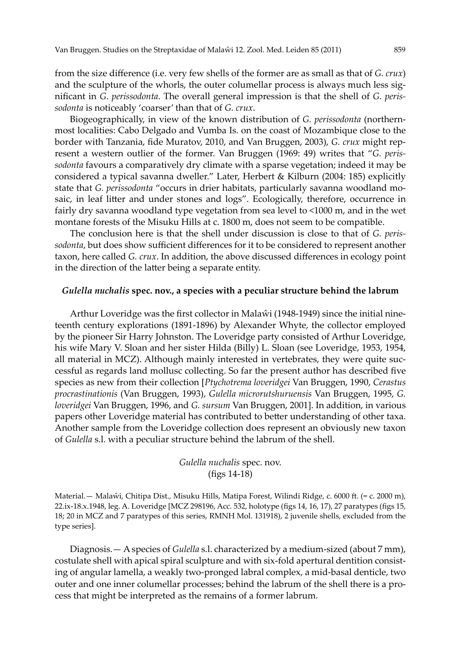from the size difference (i.e. very few shells of the former are as small as that of *G*. *crux*) and the sculpture of the whorls, the outer columellar process is always much less significant in *G*. *perissodonta*. The overall general impression is that the shell of *G. perissodonta* is noticeably 'coarser' than that of *G. crux*.

Biogeographically, in view of the known distribution of *G. perissodonta* (northernmost localities: Cabo Delgado and Vumba Is. on the coast of Mozambique close to the border with Tanzania, fide Muratov, 2010, and Van Bruggen, 2003), *G. crux* might represent a western outlier of the former. Van Bruggen (1969: 49) writes that "*G. perissodonta* favours a comparatively dry climate with a sparse vegetation; indeed it may be considered a typical savanna dweller." Later, Herbert & Kilburn (2004: 185) explicitly state that *G. perissodonta* "occurs in drier habitats, particularly savanna woodland mosaic, in leaf litter and under stones and logs". Ecologically, therefore, occurrence in fairly dry savanna woodland type vegetation from sea level to <1000 m, and in the wet montane forests of the Misuku Hills at c. 1800 m, does not seem to be compatible.

The conclusion here is that the shell under discussion is close to that of *G. perissodonta*, but does show sufficient differences for it to be considered to represent another taxon, here called *G. crux*. In addition, the above discussed differences in ecology point in the direction of the latter being a separate entity.

### *Gulella nuchalis* **spec. nov., a species with a peculiar structure behind the labrum**

Arthur Loveridge was the first collector in Malaŵi (1948-1949) since the initial nineteenth century explorations (1891-1896) by Alexander Whyte, the collector employed by the pioneer Sir Harry Johnston. The Loveridge party consisted of Arthur Loveridge, his wife Mary V. Sloan and her sister Hilda (Billy) L. Sloan (see Loveridge, 1953, 1954, all material in MCZ). Although mainly interested in vertebrates, they were quite successful as regards land mollusc collecting. So far the present author has described five species as new from their collection [*Ptychotrema loveridgei* Van Bruggen, 1990, *Cerastus procrastinationis* (Van Bruggen, 1993), *Gulella microrutshuruensis* Van Bruggen, 1995, *G. loveridgei* Van Bruggen, 1996, and *G. sursum* Van Bruggen, 2001]. In addition, in various papers other Loveridge material has contributed to better understanding of other taxa. Another sample from the Loveridge collection does represent an obviously new taxon of *Gulella* s.l. with a peculiar structure behind the labrum of the shell.

> *Gulella nuchalis* spec. nov. (figs 14-18)

Material.— Malaŵi, Chitipa Dist., Misuku Hills, Matipa Forest, Wilindi Ridge, c. 6000 ft. (= c. 2000 m), 22.ix-18.x.1948, leg. A. Loveridge [MCZ 298196, Acc. 532, holotype (figs 14, 16, 17), 27 paratypes (figs 15, 18; 20 in MCZ and 7 paratypes of this series, RMNH Mol. 131918), 2 juvenile shells, excluded from the type series].

Diagnosis.— A species of *Gulella* s.l. characterized by a medium-sized (about 7 mm), costulate shell with apical spiral sculpture and with six-fold apertural dentition consisting of angular lamella, a weakly two-pronged labral complex, a mid-basal denticle, two outer and one inner columellar processes; behind the labrum of the shell there is a process that might be interpreted as the remains of a former labrum.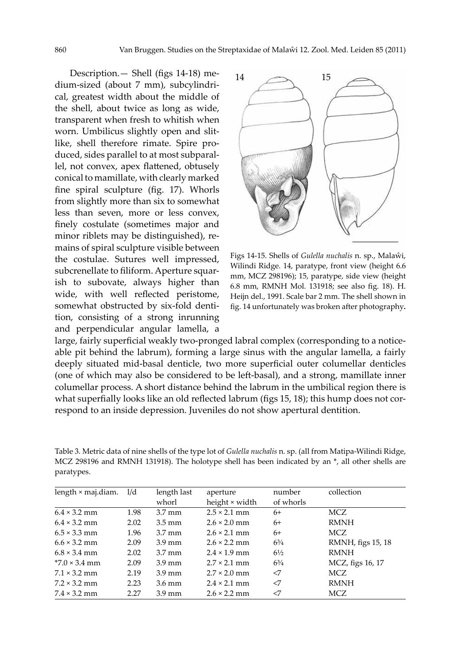Description.— Shell (figs 14-18) medium-sized (about 7 mm), subcylindrical, greatest width about the middle of the shell, about twice as long as wide, transparent when fresh to whitish when worn. Umbilicus slightly open and slitlike, shell therefore rimate. Spire produced, sides parallel to at most subparallel, not convex, apex flattened, obtusely conical to mamillate, with clearly marked fine spiral sculpture (fig. 17). Whorls from slightly more than six to somewhat less than seven, more or less convex, finely costulate (sometimes major and minor riblets may be distinguished), remains of spiral sculpture visible between the costulae. Sutures well impressed, subcrenellate to filiform. Aperture squarish to subovate, always higher than wide, with well reflected peristome, somewhat obstructed by six-fold dentition, consisting of a strong inrunning and perpendicular angular lamella, a



Figs 14-15. Shells of *Gulella nuchalis* n. sp., Malaŵi, Wilindi Ridge. 14, paratype, front view (height 6.6 mm, MCZ 298196); 15, paratype, side view (height 6.8 mm, RMNH Mol. 131918; see also fig. 18). H. Heijn del., 1991. Scale bar 2 mm. The shell shown in fig. 14 unfortunately was broken after photography*.* 

large, fairly superficial weakly two-pronged labral complex (corresponding to a noticeable pit behind the labrum), forming a large sinus with the angular lamella, a fairly deeply situated mid-basal denticle, two more superficial outer columellar denticles (one of which may also be considered to be left-basal), and a strong, mamillate inner columellar process. A short distance behind the labrum in the umbilical region there is what superfially looks like an old reflected labrum (figs 15, 18); this hump does not correspond to an inside depression. Juveniles do not show apertural dentition.

Table 3. Metric data of nine shells of the type lot of *Gulella nuchalis* n. sp. (all from Matipa-Wilindi Ridge, MCZ 298196 and RMNH 131918). The holotype shell has been indicated by an \*, all other shells are paratypes.

| length × maj.diam.   | 1/d  | length last      | aperture            | number         | collection        |
|----------------------|------|------------------|---------------------|----------------|-------------------|
|                      |      | whorl            | height × width      | of whorls      |                   |
| $6.4 \times 3.2$ mm  | 1.98 | $3.7 \text{ mm}$ | $2.5 \times 2.1$ mm | 6+             | MCZ               |
| $6.4 \times 3.2$ mm  | 2.02 | $3.5 \text{ mm}$ | $2.6 \times 2.0$ mm | 6+             | <b>RMNH</b>       |
| $6.5 \times 3.3$ mm  | 1.96 | $3.7 \text{ mm}$ | $2.6 \times 2.1$ mm | 6+             | MCZ               |
| $6.6 \times 3.2$ mm  | 2.09 | $3.9 \text{ mm}$ | $2.6 \times 2.2$ mm | $6\frac{3}{4}$ | RMNH, figs 15, 18 |
| $6.8 \times 3.4$ mm  | 2.02 | $3.7 \text{ mm}$ | $2.4 \times 1.9$ mm | $6\frac{1}{2}$ | <b>RMNH</b>       |
| $*7.0 \times 3.4$ mm | 2.09 | $3.9 \text{ mm}$ | $2.7 \times 2.1$ mm | $6\frac{3}{4}$ | MCZ, figs 16, 17  |
| $7.1 \times 3.2$ mm  | 2.19 | $3.9 \text{ mm}$ | $2.7 \times 2.0$ mm | $<$ 7          | MCZ               |
| $7.2 \times 3.2$ mm  | 2.23 | $3.6 \text{ mm}$ | $2.4 \times 2.1$ mm | <7             | <b>RMNH</b>       |
| $7.4 \times 3.2$ mm  | 2.27 | $3.9 \text{ mm}$ | $2.6 \times 2.2$ mm | <7             | MCZ               |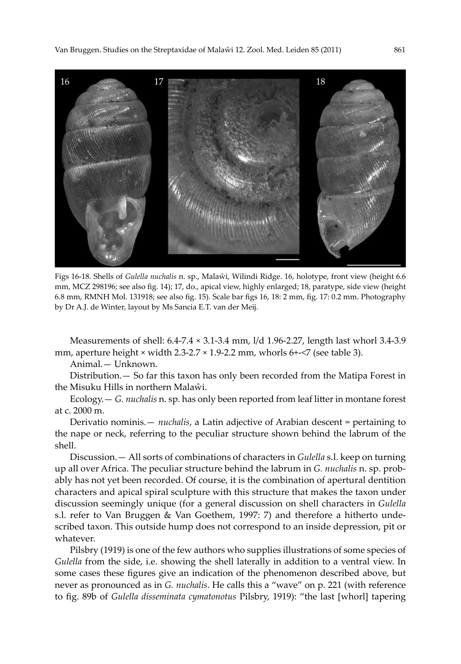

Figs 16-18. Shells of *Gulella nuchalis* n. sp., Malaŵi, Wilindi Ridge. 16, holotype, front view (height 6.6 mm, MCZ 298196; see also fig. 14); 17, do., apical view, highly enlarged; 18, paratype, side view (height 6.8 mm, RMNH Mol. 131918; see also fig. 15). Scale bar figs 16, 18: 2 mm, fig. 17: 0.2 mm. Photography by Dr A.J. de Winter, layout by Ms Sancia E.T. van der Meij.

Measurements of shell: 6.4-7.4 × 3.1-3.4 mm, l/d 1.96-2.27, length last whorl 3.4-3.9 mm, aperture height  $\times$  width 2.3-2.7  $\times$  1.9-2.2 mm, whorls 6+- $\times$ 7 (see table 3).

Animal.— Unknown.

Distribution.— So far this taxon has only been recorded from the Matipa Forest in the Misuku Hills in northern Malaŵi.

Ecology.— *G. nuchalis* n. sp. has only been reported from leaf litter in montane forest at c. 2000 m.

Derivatio nominis.— *nuchalis*, a Latin adjective of Arabian descent = pertaining to the nape or neck, referring to the peculiar structure shown behind the labrum of the shell.

Discussion.— All sorts of combinations of characters in *Gulella* s.l. keep on turning up all over Africa. The peculiar structure behind the labrum in *G. nuchalis* n. sp. probably has not yet been recorded. Of course, it is the combination of apertural dentition characters and apical spiral sculpture with this structure that makes the taxon under discussion seemingly unique (for a general discussion on shell characters in *Gulella*  s.l. refer to Van Bruggen & Van Goethem, 1997: 7) and therefore a hitherto undescribed taxon. This outside hump does not correspond to an inside depression, pit or whatever.

Pilsbry (1919) is one of the few authors who supplies illustrations of some species of *Gulella* from the side, i.e. showing the shell laterally in addition to a ventral view. In some cases these figures give an indication of the phenomenon described above, but never as pronounced as in *G. nuchalis*. He calls this a "wave" on p. 221 (with reference to fig. 89b of *Gulella disseminata cymatonotus* Pilsbry, 1919): "the last [whorl] tapering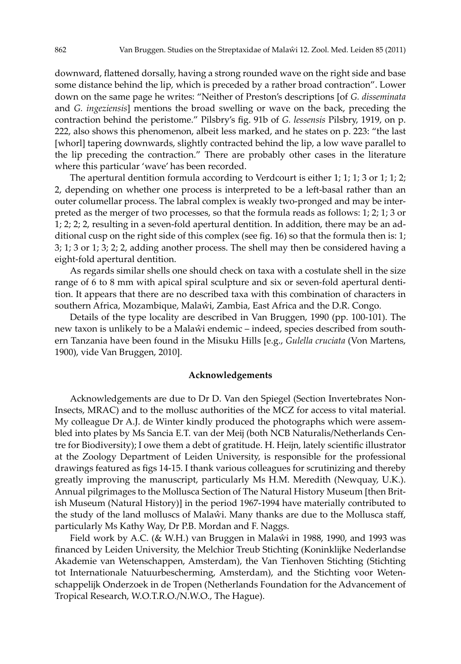downward, flattened dorsally, having a strong rounded wave on the right side and base some distance behind the lip, which is preceded by a rather broad contraction". Lower down on the same page he writes: "Neither of Preston's descriptions [of *G. disseminata* and *G. ingeziensis*] mentions the broad swelling or wave on the back, preceding the contraction behind the peristome." Pilsbry's fig. 91b of *G. lessensis* Pilsbry, 1919, on p. 222, also shows this phenomenon, albeit less marked, and he states on p. 223: "the last [whorl] tapering downwards, slightly contracted behind the lip, a low wave parallel to the lip preceding the contraction." There are probably other cases in the literature where this particular 'wave' has been recorded.

The apertural dentition formula according to Verdcourt is either 1; 1; 1; 3 or 1; 1; 2; 2, depending on whether one process is interpreted to be a left-basal rather than an outer columellar process. The labral complex is weakly two-pronged and may be interpreted as the merger of two processes, so that the formula reads as follows: 1; 2; 1; 3 or 1; 2; 2; 2, resulting in a seven-fold apertural dentition. In addition, there may be an additional cusp on the right side of this complex (see fig. 16) so that the formula then is: 1; 3; 1; 3 or 1; 3; 2; 2, adding another process. The shell may then be considered having a eight-fold apertural dentition.

As regards similar shells one should check on taxa with a costulate shell in the size range of 6 to 8 mm with apical spiral sculpture and six or seven-fold apertural dentition. It appears that there are no described taxa with this combination of characters in southern Africa, Mozambique, Malaŵi, Zambia, East Africa and the D.R. Congo.

Details of the type locality are described in Van Bruggen, 1990 (pp. 100-101). The new taxon is unlikely to be a Malaŵi endemic – indeed, species described from southern Tanzania have been found in the Misuku Hills [e.g., *Gulella cruciata* (Von Martens, 1900), vide Van Bruggen, 2010].

### **Acknowledgements**

Acknowledgements are due to Dr D. Van den Spiegel (Section Invertebrates Non-Insects, MRAC) and to the mollusc authorities of the MCZ for access to vital material. My colleague Dr A.J. de Winter kindly produced the photographs which were assembled into plates by Ms Sancia E.T. van der Meij (both NCB Naturalis/Netherlands Centre for Biodiversity); I owe them a debt of gratitude. H. Heijn, lately scientific illustrator at the Zoology Department of Leiden University, is responsible for the professional drawings featured as figs 14-15. I thank various colleagues for scrutinizing and thereby greatly improving the manuscript, particularly Ms H.M. Meredith (Newquay, U.K.). Annual pilgrimages to the Mollusca Section of The Natural History Museum [then British Museum (Natural History)] in the period 1967-1994 have materially contributed to the study of the land molluscs of Malaŵi. Many thanks are due to the Mollusca staff, particularly Ms Kathy Way, Dr P.B. Mordan and F. Naggs.

Field work by A.C. (& W.H.) van Bruggen in Malaŵi in 1988, 1990, and 1993 was financed by Leiden University, the Melchior Treub Stichting (Koninklijke Nederlandse Akademie van Wetenschappen, Amsterdam), the Van Tienhoven Stichting (Stichting tot Internationale Natuurbescherming, Amsterdam), and the Stichting voor Wetenschappelijk Onderzoek in de Tropen (Netherlands Foundation for the Advancement of Tropical Research, W.O.T.R.O./N.W.O., The Hague).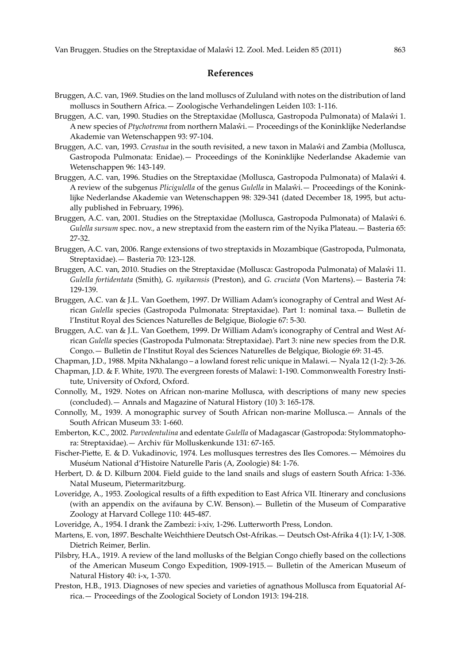#### **References**

- Bruggen, A.C. van, 1969. Studies on the land molluscs of Zululand with notes on the distribution of land molluscs in Southern Africa.— Zoologische Verhandelingen Leiden 103: 1-116.
- Bruggen, A.C. van, 1990. Studies on the Streptaxidae (Mollusca, Gastropoda Pulmonata) of Malaŵi 1. A new species of *Ptychotrema* from northern Malaŵi.— Proceedings of the Koninklijke Nederlandse Akademie van Wetenschappen 93: 97-104.
- Bruggen, A.C. van, 1993. *Cerastua* in the south revisited, a new taxon in Malaŵi and Zambia (Mollusca, Gastropoda Pulmonata: Enidae).— Proceedings of the Koninklijke Nederlandse Akademie van Wetenschappen 96: 143-149.
- Bruggen, A.C. van, 1996. Studies on the Streptaxidae (Mollusca, Gastropoda Pulmonata) of Malaŵi 4. A review of the subgenus *Plicigulella* of the genus *Gulella* in Malaŵi.— Proceedings of the Koninklijke Nederlandse Akademie van Wetenschappen 98: 329-341 (dated December 18, 1995, but actually published in February, 1996).
- Bruggen, A.C. van, 2001. Studies on the Streptaxidae (Mollusca, Gastropoda Pulmonata) of Malaŵi 6. *Gulella sursum* spec. nov., a new streptaxid from the eastern rim of the Nyika Plateau.— Basteria 65: 27-32.
- Bruggen, A.C. van, 2006. Range extensions of two streptaxids in Mozambique (Gastropoda, Pulmonata, Streptaxidae).— Basteria 70: 123-128.
- Bruggen, A.C. van, 2010. Studies on the Streptaxidae (Mollusca: Gastropoda Pulmonata) of Malaŵi 11. *Gulella fortidentata* (Smith), *G. nyikaensis* (Preston), and *G. cruciata* (Von Martens).— Basteria 74: 129-139.
- Bruggen, A.C. van & J.L. Van Goethem, 1997. Dr William Adam's iconography of Central and West African *Gulella* species (Gastropoda Pulmonata: Streptaxidae). Part 1: nominal taxa.— Bulletin de l'Institut Royal des Sciences Naturelles de Belgique, Biologie 67: 5-30.
- Bruggen, A.C. van & J.L. Van Goethem, 1999. Dr William Adam's iconography of Central and West African *Gulella* species (Gastropoda Pulmonata: Streptaxidae). Part 3: nine new species from the D.R. Congo.— Bulletin de l'Institut Royal des Sciences Naturelles de Belgique, Biologie 69: 31-45.
- Chapman, J.D., 1988. Mpita Nkhalango a lowland forest relic unique in Malawi.— Nyala 12 (1-2): 3-26.
- Chapman, J.D. & F. White, 1970. The evergreen forests of Malawi: 1-190. Commonwealth Forestry Institute, University of Oxford, Oxford.
- Connolly, M., 1929. Notes on African non-marine Mollusca, with descriptions of many new species (concluded).— Annals and Magazine of Natural History (10) 3: 165-178.
- Connolly, M., 1939. A monographic survey of South African non-marine Mollusca.— Annals of the South African Museum 33: 1-660.
- Emberton, K.C., 2002. *Parvedentulina* and edentate *Gulella* of Madagascar (Gastropoda: Stylommatophora: Streptaxidae).— Archiv für Molluskenkunde 131: 67-165.
- Fischer-Piette, E. & D. Vukadinovic, 1974. Les mollusques terrestres des Iles Comores.— Mémoires du Muséum National d'Histoire Naturelle Paris (A, Zoologie) 84: 1-76.
- Herbert, D. & D. Kilburn 2004. Field guide to the land snails and slugs of eastern South Africa: 1-336. Natal Museum, Pietermaritzburg.
- Loveridge, A., 1953. Zoological results of a fifth expedition to East Africa VII. Itinerary and conclusions (with an appendix on the avifauna by C.W. Benson).— Bulletin of the Museum of Comparative Zoology at Harvard College 110: 445-487.
- Loveridge, A., 1954. I drank the Zambezi: i-xiv, 1-296. Lutterworth Press, London.
- Martens, E. von, 1897. Beschalte Weichthiere Deutsch Ost-Afrikas.— Deutsch Ost-Afrika 4 (1): I-V, 1-308. Dietrich Reimer, Berlin.
- Pilsbry, H.A., 1919. A review of the land mollusks of the Belgian Congo chiefly based on the collections of the American Museum Congo Expedition, 1909-1915.— Bulletin of the American Museum of Natural History 40: i-x, 1-370.
- Preston, H.B., 1913. Diagnoses of new species and varieties of agnathous Mollusca from Equatorial Africa.— Proceedings of the Zoological Society of London 1913: 194-218.